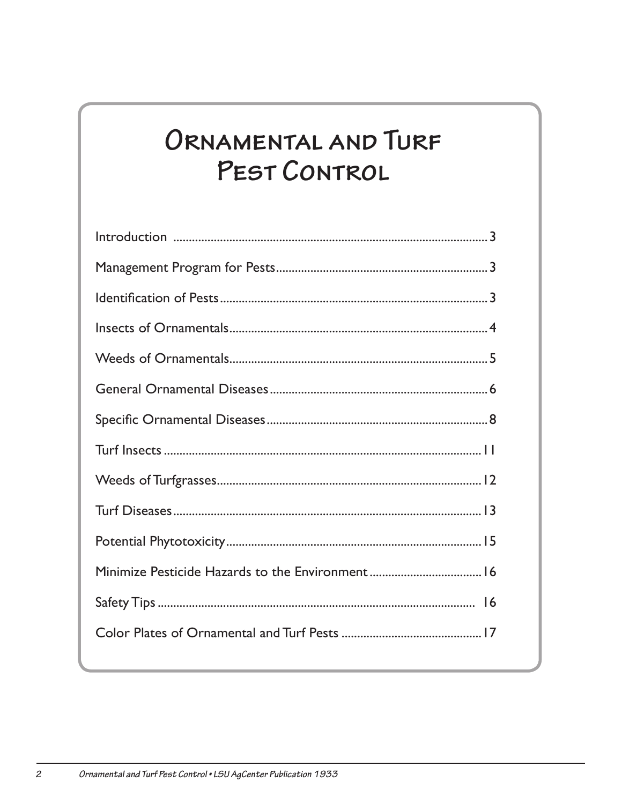# ORNAMENTAL AND TURF PEST CONTROL